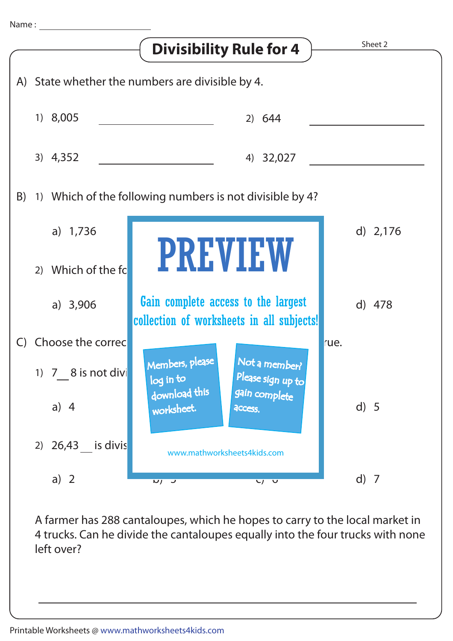

A farmer has 288 cantaloupes, which he hopes to carry to the local market in 4 trucks. Can he divide the cantaloupes equally into the four trucks with none left over?